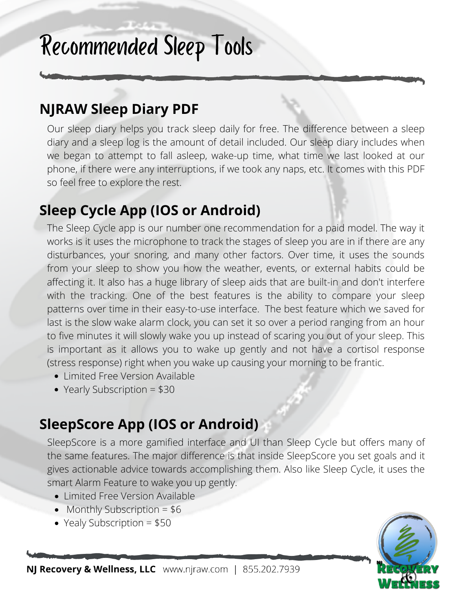The Sleep Cycle app is our number one recommendation for a paid model. The way it works is it uses the microphone to track the stages of sleep you are in if there are any disturbances, your snoring, and many other factors. Over time, it uses the sounds from your sleep to show you how the weather, events, or external habits could be affecting it. It also has a huge library of sleep aids that are built-in and don't interfere with the tracking. One of the best features is the ability to compare your sleep patterns over time in their easy-to-use interface. The best feature which we saved for last is the slow wake alarm clock, you can set it so over a period ranging from an hour to five minutes it will slowly wake you up instead of scaring you out of your sleep. This is important as it allows you to wake up gently and not have a cortisol response (stress response) right when you wake up causing your morning to be frantic.

- **.** Limited Free Version Available
- Yearly Subscription = \$30

- Limited Free Version Available
- Monthly Subscription = \$6
- Yealy Subscription = \$50

NJ Recovery & Wellness, LLC www.njraw.com | 855.202.7939

# Recommended Sleep Tools

#### **NJRAW Sleep Diary PDF**

Our sleep diary helps you track sleep daily for free. The difference between a sleep diary and a sleep log is the amount of detail included. Our sleep diary includes when we began to attempt to fall asleep, wake-up time, what time we last looked at our phone, if there were any interruptions, if we took any naps, etc. It comes with this PDF so feel free to explore the rest.

## **Sleep Cycle App (IOS or Android)**

### **SleepScore App (IOS or Android)**

SleepScore is a more gamified interface and UI than Sleep Cycle but offers many of the same features. The major difference is that inside SleepScore you set goals and it gives actionable advice towards accomplishing them. Also like Sleep Cycle, it uses the smart Alarm Feature to wake you up gently.